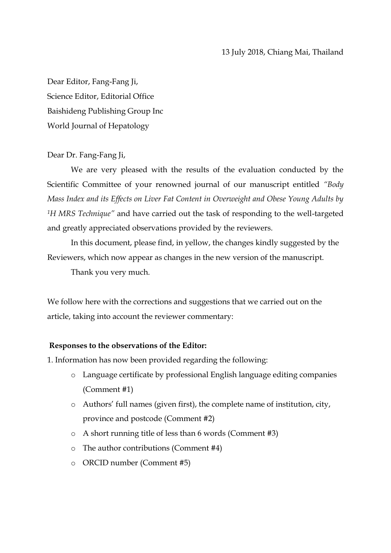Dear Editor, Fang-Fang Ji, Science Editor, Editorial Office Baishideng Publishing Group Inc World Journal of Hepatology

### Dear Dr. Fang-Fang Ji,

We are very pleased with the results of the evaluation conducted by the Scientific Committee of your renowned journal of our manuscript entitled *"Body Mass Index and its Effects on Liver Fat Content in Overweight and Obese Young Adults by <sup>1</sup>H MRS Technique"* and have carried out the task of responding to the well-targeted and greatly appreciated observations provided by the reviewers.

In this document, please find, in yellow, the changes kindly suggested by the Reviewers, which now appear as changes in the new version of the manuscript.

Thank you very much.

We follow here with the corrections and suggestions that we carried out on the article, taking into account the reviewer commentary:

### **Responses to the observations of the Editor:**

1. Information has now been provided regarding the following:

- o Language certificate by professional English language editing companies (Comment #1)
- o Authors" full names (given first), the complete name of institution, city, province and postcode (Comment #2)
- o A short running title of less than 6 words (Comment #3)
- o The author contributions (Comment #4)
- o ORCID number (Comment #5)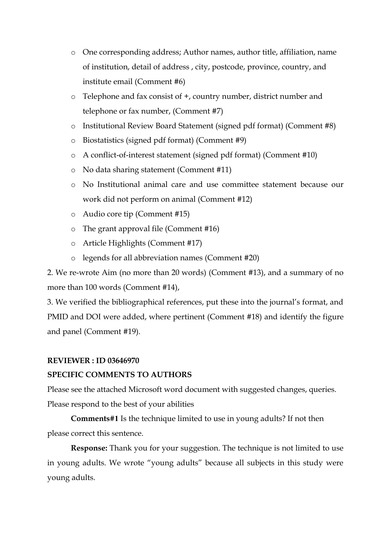- o One corresponding address; Author names, author title, affiliation, name of institution, detail of address , city, postcode, province, country, and institute email (Comment #6)
- o Telephone and fax consist of +, country number, district number and telephone or fax number, (Comment #7)
- o Institutional Review Board Statement (signed pdf format) (Comment #8)
- o Biostatistics (signed pdf format) (Comment #9)
- o A conflict-of-interest statement (signed pdf format) (Comment #10)
- o No data sharing statement (Comment #11)
- o No Institutional animal care and use committee statement because our work did not perform on animal (Comment #12)
- o Audio core tip (Comment #15)
- o The grant approval file (Comment #16)
- o Article Highlights (Comment #17)
- o legends for all abbreviation names (Comment #20)

2. We re-wrote Aim (no more than 20 words) (Comment #13), and a summary of no more than 100 words (Comment #14),

3. We verified the bibliographical references, put these into the journal"s format, and PMID and DOI were added, where pertinent (Comment #18) and identify the figure and panel (Comment #19).

# **REVIEWER : ID 03646970**

# **SPECIFIC COMMENTS TO AUTHORS**

Please see the attached Microsoft word document with suggested changes, queries. Please respond to the best of your abilities

**Comments#1** Is the technique limited to use in young adults? If not then please correct this sentence.

**Response:** Thank you for your suggestion. The technique is not limited to use in young adults. We wrote "young adults" because all subjects in this study were young adults.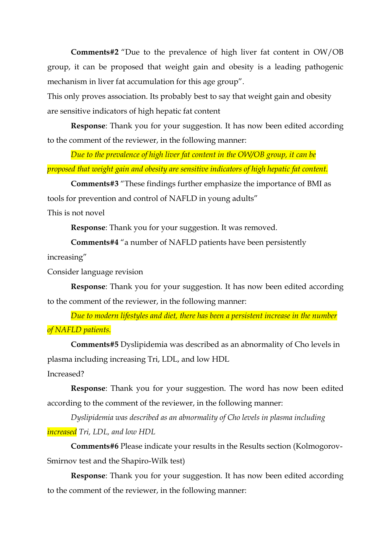**Comments#2** "Due to the prevalence of high liver fat content in OW/OB group, it can be proposed that weight gain and obesity is a leading pathogenic mechanism in liver fat accumulation for this age group".

This only proves association. Its probably best to say that weight gain and obesity are sensitive indicators of high hepatic fat content

**Response**: Thank you for your suggestion. It has now been edited according to the comment of the reviewer, in the following manner:

*Due to the prevalence of high liver fat content in the OW/OB group, it can be proposed that weight gain and obesity are sensitive indicators of high hepatic fat content.*

**Comments#3** "These findings further emphasize the importance of BMI as tools for prevention and control of NAFLD in young adults"

This is not novel

**Response**: Thank you for your suggestion. It was removed.

**Comments#4** "a number of NAFLD patients have been persistently

increasing"

Consider language revision

**Response**: Thank you for your suggestion. It has now been edited according to the comment of the reviewer, in the following manner:

*Due to modern lifestyles and diet, there has been a persistent increase in the number of NAFLD patients.*

**Comments#5** Dyslipidemia was described as an abnormality of Cho levels in plasma including increasing Tri, LDL, and low HDL

Increased?

**Response**: Thank you for your suggestion. The word has now been edited according to the comment of the reviewer, in the following manner:

*Dyslipidemia was described as an abnormality of Cho levels in plasma including increased Tri, LDL, and low HDL*

**Comments#6** Please indicate your results in the Results section (Kolmogorov-Smirnov test and the Shapiro-Wilk test)

**Response**: Thank you for your suggestion. It has now been edited according to the comment of the reviewer, in the following manner: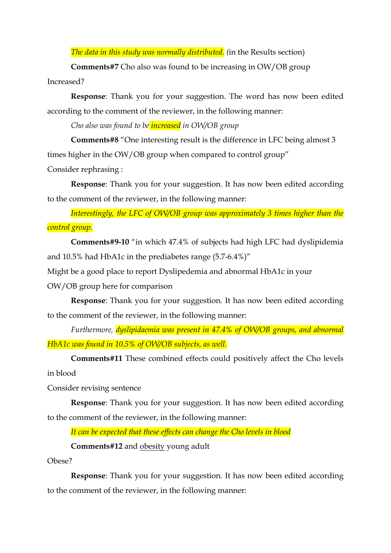*The data in this study was normally distributed. (*in the Results section)

**Comments#7** Cho also was found to be increasing in OW/OB group

Increased?

**Response**: Thank you for your suggestion. The word has now been edited according to the comment of the reviewer, in the following manner:

*Cho also was found to be increased in OW/OB group*

**Comments#8** "One interesting result is the difference in LFC being almost 3 times higher in the OW/OB group when compared to control group"

Consider rephrasing :

**Response**: Thank you for your suggestion. It has now been edited according to the comment of the reviewer, in the following manner:

*Interestingly, the LFC of OW/OB group was approximately 3 times higher than the control group.*

**Comments#9-10** "in which 47.4% of subjects had high LFC had dyslipidemia and 10.5% had HbA1c in the prediabetes range (5.7-6.4%)"

Might be a good place to report Dyslipedemia and abnormal HbA1c in your

OW/OB group here for comparison

**Response**: Thank you for your suggestion. It has now been edited according to the comment of the reviewer, in the following manner:

*Furthermore, dyslipidaemia was present in 47.4% of OW/OB groups, and abnormal HbA1c was found in 10.5% of OW/OB subjects, as well.*

**Comments#11** These combined effects could positively affect the Cho levels in blood

Consider revising sentence

**Response**: Thank you for your suggestion. It has now been edited according to the comment of the reviewer, in the following manner:

*It can be expected that these effects can change the Cho levels in blood*

**Comments#12** and obesity young adult

Obese?

**Response**: Thank you for your suggestion. It has now been edited according to the comment of the reviewer, in the following manner: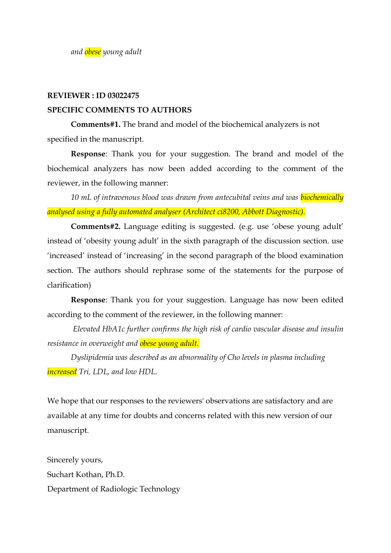#### **REVIEWER : ID 03022475**

#### **SPECIFIC COMMENTS TO AUTHORS**

**Comments#1.** The brand and model of the biochemical analyzers is not specified in the manuscript.

**Response**: Thank you for your suggestion. The brand and model of the biochemical analyzers has now been added according to the comment of the reviewer, in the following manner:

*10 mL of intravenous blood was drawn from antecubital veins and was biochemically analysed using a fully automated analyser (Architect ci8200, Abbott Diagnostic).*

**Comments#2.** Language editing is suggested. (e.g. use "obese young adult" instead of 'obesity young adult' in the sixth paragraph of the discussion section. use "increased" instead of "increasing" in the second paragraph of the blood examination section. The authors should rephrase some of the statements for the purpose of clarification)

**Response**: Thank you for your suggestion. Language has now been edited according to the comment of the reviewer, in the following manner:

*Elevated HbA1c further confirms the high risk of cardio vascular disease and insulin resistance in overweight and obese young adult.*

*Dyslipidemia was described as an abnormality of Cho levels in plasma including increased Tri, LDL, and low HDL.*

We hope that our responses to the reviewers' observations are satisfactory and are available at any time for doubts and concerns related with this new version of our manuscript.

Sincerely yours, Suchart Kothan, Ph.D. Department of Radiologic Technology